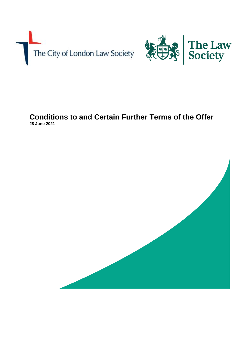



# **Conditions to and Certain Further Terms of the Offer 28 June 2021**

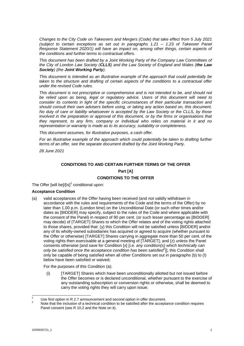*Changes to the City Code on Takeovers and Mergers (Code) that take effect from 5 July 2021 (subject to certain exceptions as set out in paragraphs 1.21 – 1.23 of Takeover Panel Response Statement 2020/1) will have an impact on, among other things, certain aspects of the conditions and further terms to contractual offers.* 

*This document has been drafted by a Joint Working Party of the Company Law Committees of the City of London Law Society (CLLS) and the Law Society of England and Wales (the Law Society) (the Joint Working Party).*

*This document is intended as an illustrative example of the approach that could potentially be taken to the structure and drafting of certain aspects of the conditions to a contractual offer under the revised Code rules.* 

*This document is not prescriptive or comprehensive and is not intended to be, and should not be relied upon as being, legal or regulatory advice. Users of this document will need to consider its contents in light of the specific circumstances of their particular transaction and should consult their own advisers before using, or taking any action based on, this document. No duty of care or liability whatsoever is accepted by the Law Society or the CLLS, by those involved in the preparation or approval of this document, or by the firms or organisations that they represent, to any firm, company or individual who relies on material in it and no representation or warranty is made as to its accuracy, suitability or completeness.*

*This document assumes, for illustrative purposes, a cash offer.*

For an illustrative example of the approach which could potentially be taken to drafting further *terms of an offer, see the separate document drafted by the Joint Working Party.*

*28 June 2021*

## **CONDITIONS TO AND CERTAIN FURTHER TERMS OF THE OFFER**

## **Part [A] CONDITIONS TO THE OFFER**

The Offer [will be]/ $[is]$ <sup>1</sup> conditional upon:

## **Acceptance Condition**

(a) valid acceptances of the Offer having been received (and not validly withdrawn in accordance with the rules and requirements of the Code and the terms of the Offer) by no later than 1.00 p.m. (London time) on the Unconditional Date (or such other times and/or dates as [BIDDER] may specify, subject to the rules of the Code and where applicable with the consent of the Panel) in respect of 90 per cent. (or such lesser percentage as [BIDDER] may decide) of [TARGET] Shares to which the Offer relates and of the voting rights attached to those shares, provided that: (y) this Condition will not be satisfied unless [BIDDER] and/or any of its wholly-owned subsidiaries has acquired or agreed to acquire (whether pursuant to the Offer or otherwise) [TARGET] Shares carrying in aggregate more than 50 per cent. of the voting rights then exercisable at a general meeting of [TARGET]; and (z) unless the Panel consents otherwise [and save for Condition [x] [*i.e. any condition(s) which technically can only be satisfied once the acceptance condition has been satisfied<sup>2</sup>* ]], this Condition shall only be capable of being satisfied when all other Conditions set out in paragraphs (b) to (l) below have been satisfied or waived;

For the purposes of this Condition (a):

(i) [TARGET] Shares which have been unconditionally allotted but not issued before the Offer becomes or is declared unconditional, whether pursuant to the exercise of any outstanding subscription or conversion rights or otherwise, shall be deemed to carry the voting rights they will carry upon issue;

Use first option in R 2.7 announcement and second option in offer document.

Note that the inclusion of a technical condition to be satisfied after the acceptance condition requires Panel consent (see R 10.2 and the Note on it).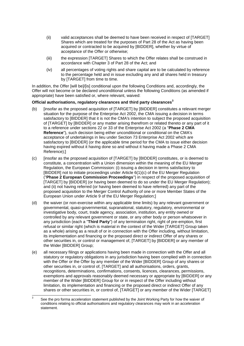- (ii) valid acceptances shall be deemed to have been received in respect of [TARGET] Shares which are treated for the purposes of Part 28 of the Act as having been acquired or contracted to be acquired by [BIDDER], whether by virtue of acceptance of the Offer or otherwise;
- (iii) the expression [TARGET] Shares to which the Offer relates shall be construed in accordance with Chapter 3 of Part 28 of the Act; and
- (iv) all percentages of voting rights and share capital are to be calculated by reference to the percentage held and in issue excluding any and all shares held in treasury by [TARGET] from time to time.

In addition, the Offer [will be]/[is] conditional upon the following Conditions and, accordingly, the Offer will not become or be declared unconditional unless the following Conditions (as amended if appropriate) have been satisfied or, where relevant, waived:

## **Official authorisations, regulatory clearances and third party clearances<sup>3</sup>**

- (b) [insofar as the proposed acquisition of [TARGET] by [BIDDER] constitutes a relevant merger situation for the purpose of the Enterprise Act 2002, the CMA issuing a decision in terms satisfactory to [BIDDER] that it is not the CMA's intention to subject the proposed acquisition of [TARGET] by [BIDDER] or any matter arising therefrom or related thereto or any part of it to a reference under sections 22 or 33 of the Enterprise Act 2002 (a "**Phase 2 CMA Reference**"), such decision being either unconditional or conditional on the CMA's acceptance of undertakings in lieu under Section 73 Enterprise Act 2002 which are satisfactory to [BIDDER] (or the applicable time period for the CMA to issue either decision having expired without it having done so and without it having made a Phase 2 CMA Reference);]
- (c) [insofar as the proposed acquisition of [TARGET] by [BIDDER] constitutes, or is deemed to constitute, a concentration with a Union dimension within the meaning of the EU Merger Regulation, the European Commission: (i) issuing a decision in terms satisfactory to [BIDDER] not to initiate proceedings under Article 6(1)(c) of the EU Merger Regulation ("**Phase 2 European Commission Proceedings**") in respect of the proposed acquisition of [TARGET] by [BIDDER] (or having been deemed to do so under the EU Merger Regulation); and (ii) not having referred (or having been deemed to have referred) any part of the proposed acquisition to the Merger Control Authority of one or more Member States of the European Union under Article 9 of the EU Merger Regulation;]
- (d) the waiver (or non-exercise within any applicable time limits) by any relevant government or governmental, quasi-governmental, supranational, statutory, regulatory, environmental or investigative body, court, trade agency, association, institution, any entity owned or controlled by any relevant government or state, or any other body or person whatsoever in any jurisdiction (each a "**Third Party**") of any termination right, right of pre-emption, first refusal or similar right (which is material in the context of the Wider [TARGET] Group taken as a whole) arising as a result of or in connection with the Offer including, without limitation, its implementation and financing or the proposed direct or indirect Offer of any shares or other securities in, or control or management of, [TARGET] by [BIDDER] or any member of the Wider [BIDDER] Group;
- (e) all necessary filings or applications having been made in connection with the Offer and all statutory or regulatory obligations in any jurisdiction having been complied with in connection with the Offer or the Offer by any member of the Wider [BIDDER] Group of any shares or other securities in, or control of, [TARGET] and all authorisations, orders, grants, recognitions, determinations, confirmations, consents, licences, clearances, permissions, exemptions and approvals reasonably deemed necessary or appropriate by [BIDDER] or any member of the Wider [BIDDER] Group for or in respect of the Offer including without limitation, its implementation and financing or the proposed direct or indirect Offer of any shares or other securities in, or control of, [TARGET] or any member of the Wider [TARGET]

 $\frac{1}{3}$ See the pro forma acceleration statement published by the Joint Working Party for how the waiver of conditions relating to official authorisations and regulatory clearances may work in an acceleration statement.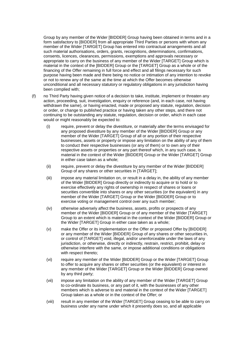Group by any member of the Wider [BIDDER] Group having been obtained in terms and in a form satisfactory to [BIDDER] from all appropriate Third Parties or persons with whom any member of the Wider [TARGET] Group has entered into contractual arrangements and all such material authorisations, orders, grants, recognitions, determinations, confirmations, consents, licences, clearances, permissions, exemptions and approvals necessary or appropriate to carry on the business of any member of the Wider [TARGET] Group which is material in the context of the [BIDDER] Group or the [TARGET] Group as a whole or of the financing of the Offer remaining in full force and effect and all filings necessary for such purpose having been made and there being no notice or intimation of any intention to revoke or not to renew any of the same at the time at which the Offer becomes otherwise unconditional and all necessary statutory or regulatory obligations in any jurisdiction having been complied with;

- (f) no Third Party having given notice of a decision to take, institute, implement or threaten any action, proceeding, suit, investigation, enquiry or reference (and, in each case, not having withdrawn the same), or having enacted, made or proposed any statute, regulation, decision or order, or change to published practice or having taken any other steps, and there not continuing to be outstanding any statute, regulation, decision or order, which in each case would or might reasonably be expected to:
	- (i) require, prevent or delay the divestiture, or materially alter the terms envisaged for any proposed divestiture by any member of the Wider [BIDDER] Group or any member of the Wider [TARGET] Group of all or any portion of their respective businesses, assets or property or impose any limitation on the ability of any of them to conduct their respective businesses (or any of them) or to own any of their respective assets or properties or any part thereof which, in any such case, is material in the context of the Wider [BIDDER] Group or the Wider [TARGET] Group in either case taken as a whole;
	- (ii) require, prevent or delay the divestiture by any member of the Wider [BIDDER] Group of any shares or other securities in [TARGET];
	- (iii) impose any material limitation on, or result in a delay in, the ability of any member of the Wider [BIDDER] Group directly or indirectly to acquire or to hold or to exercise effectively any rights of ownership in respect of shares or loans or securities convertible into shares or any other securities (or the equivalent) in any member of the Wider [TARGET] Group or the Wider [BIDDER] Group or to exercise voting or management control over any such member;
	- (iv) otherwise adversely affect the business, assets, profits or prospects of any member of the Wider [BIDDER] Group or of any member of the Wider [TARGET] Group to an extent which is material in the context of the Wider [BIDDER] Group or the Wider [TARGET] Group in either case taken as a whole;
	- (v) make the Offer or its implementation or the Offer or proposed Offer by [BIDDER] or any member of the Wider [BIDDER] Group of any shares or other securities in, or control of [TARGET] void, illegal, and/or unenforceable under the laws of any jurisdiction, or otherwise, directly or indirectly, restrain, restrict, prohibit, delay or otherwise interfere with the same, or impose additional conditions or obligations with respect thereto;
	- (vi) require any member of the Wider [BIDDER] Group or the Wider [TARGET] Group to offer to acquire any shares or other securities (or the equivalent) or interest in any member of the Wider [TARGET] Group or the Wider [BIDDER] Group owned by any third party;
	- (vii) impose any limitation on the ability of any member of the Wider [TARGET] Group to co-ordinate its business, or any part of it, with the businesses of any other members which is adverse to and material in the context of the Wider [TARGET] Group taken as a whole or in the context of the Offer; or
	- (viii) result in any member of the Wider [TARGET] Group ceasing to be able to carry on business under any name under which it presently does so, and all applicable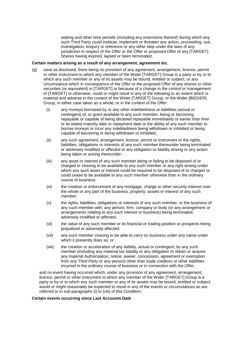waiting and other time periods (including any extensions thereof) during which any such Third Party could institute, implement or threaten any action, proceeding, suit, investigation, enquiry or reference or any other step under the laws of any jurisdiction in respect of the Offer or the Offer or proposed Offer of any [TARGET] Shares having expired, lapsed or been terminated;

#### **Certain matters arising as a result of any arrangement, agreement etc.**

- (g) save as disclosed, there being no provision of any agreement, arrangement, licence, permit or other instrument to which any member of the Wider [TARGET] Group is a party or by or to which any such member or any of its assets may be bound, entitled or subject, or any circumstance which in consequence of the Offer or the proposed Offer of any shares or other securities (or equivalent) in [TARGET] or because of a change in the control or management of [TARGET] or otherwise, could or might result in any of the following to an extent which is material and adverse in the context of the Wider [TARGET] Group, or the Wider [BIDDER] Group, in either case taken as a whole, or in the context of the Offer:
	- (i) any moneys borrowed by or any other indebtedness or liabilities (actual or contingent) of, or grant available to any such member, being or becoming repayable or capable of being declared repayable immediately or earlier than their or its stated maturity date or repayment date or the ability of any such member to borrow moneys or incur any indebtedness being withdrawn or inhibited or being capable of becoming or being withdrawn or inhibited;
	- (ii) any such agreement, arrangement, licence, permit or instrument or the rights, liabilities, obligations or interests of any such member thereunder being terminated or adversely modified or affected or any obligation or liability arising or any action being taken or arising thereunder;
	- (iii) any asset or interest of any such member being or failing to be disposed of or charged or ceasing to be available to any such member or any right arising under which any such asset or interest could be required to be disposed of or charged or could cease to be available to any such member otherwise than in the ordinary course of business;
	- (iv) the creation or enforcement of any mortgage, charge or other security interest over the whole or any part of the business, property, assets or interest of any such member;
	- (v) the rights, liabilities, obligations or interests of any such member, or the business of any such member with, any person, firm, company or body (or any arrangement or arrangements relating to any such interest or business) being terminated, adversely modified or affected;
	- (vi) the value of any such member or its financial or trading position or prospects being prejudiced or adversely affected;
	- (vii) any such member ceasing to be able to carry on business under any name under which it presently does so; or
	- (viii) the creation or acceleration of any liability, actual or contingent, by any such member (including any material tax liability or any obligation to obtain or acquire any material Authorisation, notice, waiver, concession, agreement or exemption from any Third Party or any person) other than trade creditors or other liabilities incurred in the ordinary course of business or in connection with the Offer,

and no event having occurred which, under any provision of any agreement, arrangement, licence, permit or other instrument to which any member of the Wider [TARGET] Group is a party or by or to which any such member or any of its assets may be bound, entitled or subject, would or might reasonably be expected to result in any of the events or circumstances as are referred to in sub-paragraphs (i) to (viii) of this Condition;

#### **Certain events occurring since Last Accounts Date**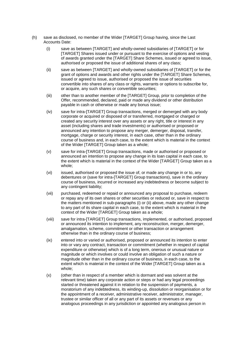- (h) save as disclosed, no member of the Wider [TARGET] Group having, since the Last Accounts Date:
	- (i) save as between [TARGET] and wholly-owned subsidiaries of [TARGET] or for [TARGET] Shares issued under or pursuant to the exercise of options and vesting of awards granted under the [TARGET] Share Schemes, issued or agreed to issue, authorised or proposed the issue of additional shares of any class;
	- (ii) save as between [TARGET] and wholly-owned subsidiaries of [TARGET] or for the grant of options and awards and other rights under the [TARGET] Share Schemes, issued or agreed to issue, authorised or proposed the issue of securities convertible into shares of any class or rights, warrants or options to subscribe for, or acquire, any such shares or convertible securities;
	- (iii) other than to another member of the [TARGET] Group, prior to completion of the Offer, recommended, declared, paid or made any dividend or other distribution payable in cash or otherwise or made any bonus issue;
	- (iv) save for intra-[TARGET] Group transactions, merged or demerged with any body corporate or acquired or disposed of or transferred, mortgaged or charged or created any security interest over any assets or any right, title or interest in any asset (including shares and trade investments) or authorised or proposed or announced any intention to propose any merger, demerger, disposal, transfer, mortgage, charge or security interest, in each case, other than in the ordinary course of business and, in each case, to the extent which is material in the context of the Wider [TARGET] Group taken as a whole;
	- (v) save for intra-[TARGET] Group transactions, made or authorised or proposed or announced an intention to propose any change in its loan capital in each case, to the extent which is material in the context of the Wider [TARGET] Group taken as a whole;
	- (vi) issued, authorised or proposed the issue of, or made any change in or to, any debentures or (save for intra-[TARGET] Group transactions), save in the ordinary course of business, incurred or increased any indebtedness or become subject to any contingent liability;
	- (vii) purchased, redeemed or repaid or announced any proposal to purchase, redeem or repay any of its own shares or other securities or reduced or, save in respect to the matters mentioned in sub-paragraphs (i) or (ii) above, made any other change to any part of its share capital in each case, to the extent which is material in the context of the Wider [TARGET] Group taken as a whole;
	- (viii) save for intra-[TARGET] Group transactions, implemented, or authorised, proposed or announced its intention to implement, any reconstruction, merger, demerger, amalgamation, scheme, commitment or other transaction or arrangement otherwise than in the ordinary course of business;
	- (ix) entered into or varied or authorised, proposed or announced its intention to enter into or vary any contract, transaction or commitment (whether in respect of capital expenditure or otherwise) which is of a long term, onerous or unusual nature or magnitude or which involves or could involve an obligation of such a nature or magnitude other than in the ordinary course of business, in each case, to the extent which is material in the context of the Wider [TARGET] Group taken as a whole;
	- (x) (other than in respect of a member which is dormant and was solvent at the relevant time) taken any corporate action or steps or had any legal proceedings started or threatened against it in relation to the suspension of payments, a moratorium of any indebtedness, its winding-up, dissolution or reorganisation or for the appointment of a receiver, administrative receiver, administrator, manager, trustee or similar officer of all or any part of its assets or revenues or any analogous proceedings in any jurisdiction or appointed any analogous person in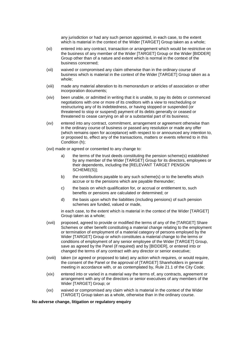any jurisdiction or had any such person appointed, in each case, to the extent which is material in the context of the Wider [TARGET] Group taken as a whole;

- (xi) entered into any contract, transaction or arrangement which would be restrictive on the business of any member of the Wider [TARGET] Group or the Wider [BIDDER] Group other than of a nature and extent which is normal in the context of the business concerned;
- (xii) waived or compromised any claim otherwise than in the ordinary course of business which is material in the context of the Wider [TARGET] Group taken as a whole;
- (xiii) made any material alteration to its memorandum or articles of association or other incorporation documents;
- (xiv) been unable, or admitted in writing that it is unable, to pay its debts or commenced negotiations with one or more of its creditors with a view to rescheduling or restructuring any of its indebtedness, or having stopped or suspended (or threatened to stop or suspend) payment of its debts generally or ceased or threatened to cease carrying on all or a substantial part of its business;
- (xv) entered into any contract, commitment, arrangement or agreement otherwise than in the ordinary course of business or passed any resolution or made any offer (which remains open for acceptance) with respect to or announced any intention to, or proposed to, effect any of the transactions, matters or events referred to in this Condition (h);

(xvi) made or agreed or consented to any change to:

- a) the terms of the trust deeds constituting the pension scheme(s) established by any member of the Wider [TARGET] Group for its directors, employees or their dependents, including the [RELEVANT TARGET PENSION SCHEME(S)];
- b) the contributions payable to any such scheme(s) or to the benefits which accrue or to the pensions which are payable thereunder;
- c) the basis on which qualification for, or accrual or entitlement to, such benefits or pensions are calculated or determined; or
- d) the basis upon which the liabilities (including pensions) of such pension schemes are funded, valued or made,

in each case, to the extent which is material in the context of the Wider [TARGET] Group taken as a whole;

- (xvii) proposed, agreed to provide or modified the terms of any of the [TARGET] Share Schemes or other benefit constituting a material change relating to the employment or termination of employment of a material category of persons employed by the Wider [TARGET] Group or which constitutes a material change to the terms or conditions of employment of any senior employee of the Wider [TARGET] Group, save as agreed by the Panel (if required) and by [BIDDER], or entered into or changed the terms of any contract with any director or senior executive;
- (xviii) taken (or agreed or proposed to take) any action which requires, or would require, the consent of the Panel or the approval of [TARGET] Shareholders in general meeting in accordance with, or as contemplated by, Rule 21.1 of the City Code;
- (xix) entered into or varied in a material way the terms of, any contracts, agreement or arrangement with any of the directors or senior executives of any members of the Wider [TARGET] Group; or
- (xx) waived or compromised any claim which is material in the context of the Wider [TARGET] Group taken as a whole, otherwise than in the ordinary course.

#### **No adverse change, litigation or regulatory enquiry**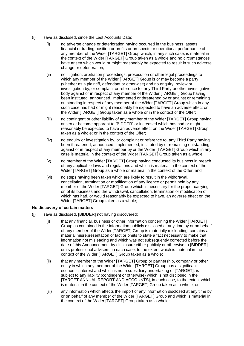- (i) save as disclosed, since the Last Accounts Date:
	- (i) no adverse change or deterioration having occurred in the business, assets, financial or trading position or profits or prospects or operational performance of any member of the Wider [TARGET] Group which, in any such case, is material in the context of the Wider [TARGET] Group taken as a whole and no circumstances have arisen which would or might reasonably be expected to result in such adverse change or deterioration;
	- (ii) no litigation, arbitration proceedings, prosecution or other legal proceedings to which any member of the Wider [TARGET] Group is or may become a party (whether as a plaintiff, defendant or otherwise) and no enquiry, review or investigation by, or complaint or reference to, any Third Party or other investigative body against or in respect of any member of the Wider [TARGET] Group having been instituted, announced, implemented or threatened by or against or remaining outstanding in respect of any member of the Wider [TARGET] Group which in any such case has had or might reasonably be expected to have an adverse effect on the Wider [TARGET] Group taken as a whole or in the context of the Offer;
	- (iii) no contingent or other liability of any member of the Wider [TARGET] Group having arisen or become apparent to [BIDDER] or increased which has had or might reasonably be expected to have an adverse effect on the Wider [TARGET] Group taken as a whole; or in the context of the Offer;
	- (iv) no enquiry or investigation by, or complaint or reference to, any Third Party having been threatened, announced, implemented, instituted by or remaining outstanding against or in respect of any member by or the Wider [TARGET] Group which in any case is material in the context of the Wider [TARGET] Group taken as a whole;
	- (v) no member of the Wider [TARGET] Group having conducted its business in breach of any applicable laws and regulations and which is material in the context of the Wider [TARGET] Group as a whole or material in the context of the Offer; and
	- (vi) no steps having been taken which are likely to result in the withdrawal, cancellation, termination or modification of any licence or permit held by any member of the Wider [TARGET] Group which is necessary for the proper carrying on of its business and the withdrawal, cancellation, termination or modification of which has had, or would reasonably be expected to have, an adverse effect on the Wider [TARGET] Group taken as a whole;

## **No discovery of certain matters**

- (j) save as disclosed, [BIDDER] not having discovered:
	- (i) that any financial, business or other information concerning the Wider [TARGET] Group as contained in the information publicly disclosed at any time by or on behalf of any member of the Wider [TARGET] Group is materially misleading, contains a material misrepresentation of fact or omits to state a fact necessary to make that information not misleading and which was not subsequently corrected before the date of this Announcement by disclosure either publicly or otherwise to [BIDDER] or its professional advisers, in each case, to the extent which is material in the context of the Wider [TARGET] Group taken as a whole;
	- (ii) that any member of the Wider [TARGET] Group or partnership, company or other entity in which any member of the Wider [TARGET] Group has a significant economic interest and which is not a subsidiary undertaking of [TARGET], is subject to any liability (contingent or otherwise) which is not disclosed in the [TARGET ANNUAL REPORT AND ACCOUNTS], in each case, to the extent which is material in the context of the Wider [TARGET] Group taken as a whole; or
	- (iii) any information which affects the import of any information disclosed at any time by or on behalf of any member of the Wider [TARGET] Group and which is material in the context of the Wider [TARGET] Group taken as a whole;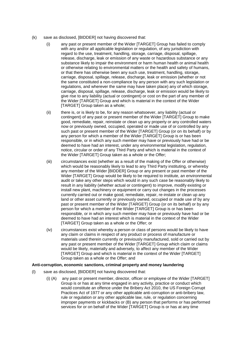- (k) save as disclosed, [BIDDER] not having discovered that:
	- (i) any past or present member of the Wider [TARGET] Group has failed to comply with any and/or all applicable legislation or regulation, of any jurisdiction with regard to the use, treatment, handling, storage, carriage, disposal, spillage, release, discharge, leak or emission of any waste or hazardous substance or any substance likely to impair the environment or harm human health or animal health or otherwise relating to environmental matters or the health and safety of humans, or that there has otherwise been any such use, treatment, handling, storage, carriage, disposal, spillage, release, discharge, leak or emission (whether or not the same constituted a non-compliance by any person with any such legislation or regulations, and wherever the same may have taken place) any of which storage, carriage, disposal, spillage, release, discharge, leak or emission would be likely to give rise to any liability (actual or contingent) or cost on the part of any member of the Wider [TARGET] Group and which is material in the context of the Wider [TARGET] Group taken as a whole;
	- (ii) there is, or is likely to be, for any reason whatsoever, any liability (actual or contingent) of any past or present member of the Wider [TARGET] Group to make good, remediate, repair, reinstate or clean up any property or any controlled waters now or previously owned, occupied, operated or made use of or controlled by any such past or present member of the Wider [TARGET] Group (or on its behalf) or by any person for which a member of the Wider [TARGET] Group is or has been responsible, or in which any such member may have or previously have had or be deemed to have had an interest, under any environmental legislation, regulation, notice, circular or order of any Third Party and which is material in the context of the Wider [TARGET] Group taken as a whole or the Offer;
	- (iii) circumstances exist (whether as a result of the making of the Offer or otherwise) which would be reasonably likely to lead to any Third Party instituting, or whereby any member of the Wider [BIDDER] Group or any present or past member of the Wider [TARGET] Group would be likely to be required to institute, an environmental audit or take any other steps which would in any such case be reasonably likely to result in any liability (whether actual or contingent) to improve, modify existing or install new plant, machinery or equipment or carry out changes in the processes currently carried out or make good, remediate, repair, re-instate or clean up any land or other asset currently or previously owned, occupied or made use of by any past or present member of the Wider [TARGET] Group (or on its behalf) or by any person for which a member of the Wider [TARGET] Group is or has been responsible, or in which any such member may have or previously have had or be deemed to have had an interest which is material in the context of the Wider [TARGET] Group taken as a whole or the Offer; or
	- (iv) circumstances exist whereby a person or class of persons would be likely to have any claim or claims in respect of any product or process of manufacture or materials used therein currently or previously manufactured, sold or carried out by any past or present member of the Wider [TARGET] Group which claim or claims would be likely, materially and adversely, to affect any member of the Wider [TARGET] Group and which is material in the context of the Wider [TARGET] Group taken as a whole or the Offer; and

## **Anti-corruption, economic sanctions, criminal property and money laundering**

- (l) save as disclosed, [BIDDER] not having discovered that:
	- (i) (A) any past or present member, director, officer or employee of the Wider [TARGET] Group is or has at any time engaged in any activity, practice or conduct which would constitute an offence under the Bribery Act 2010, the US Foreign Corrupt Practices Act of 1977 or any other applicable anti-corruption or anti-bribery law, rule or regulation or any other applicable law, rule, or regulation concerning improper payments or kickbacks or (B) any person that performs or has performed services for or on behalf of the Wider [TARGET] Group is or has at any time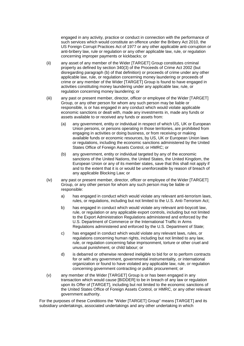engaged in any activity, practice or conduct in connection with the performance of such services which would constitute an offence under the Bribery Act 2010, the US Foreign Corrupt Practices Act of 1977 or any other applicable anti-corruption or anti-bribery law, rule or regulation or any other applicable law, rule, or regulation concerning improper payments or kickbacks; or

- (ii) any asset of any member of the Wider [TARGET] Group constitutes criminal property as defined by section 340(3) of the Proceeds of Crime Act 2002 (but disregarding paragraph (b) of that definition) or proceeds of crime under any other applicable law, rule, or regulation concerning money laundering or proceeds of crime or any member of the Wider [TARGET] Group is found to have engaged in activities constituting money laundering under any applicable law, rule, or regulation concerning money laundering; or
- (iii) any past or present member, director, officer or employee of the Wider [TARGET] Group, or any other person for whom any such person may be liable or responsible, is or has engaged in any conduct which would violate applicable economic sanctions or dealt with, made any investments in, made any funds or assets available to or received any funds or assets from:
	- (a) any government, entity or individual in respect of which US, UK or European Union persons, or persons operating in those territories, are prohibited from engaging in activities or doing business, or from receiving or making available funds or economic resources, by US, UK or European Union laws or regulations, including the economic sanctions administered by the United States Office of Foreign Assets Control, or HMRC; or
	- (b) any government, entity or individual targeted by any of the economic sanctions of the United Nations, the United States, the United Kingdom, the European Union or any of its member states, save that this shall not apply if and to the extent that it is or would be unenforceable by reason of breach of any applicable Blocking Law; or
- (iv) any past or present member, director, officer or employee of the Wider [TARGET] Group, or any other person for whom any such person may be liable or responsible:
	- a) has engaged in conduct which would violate any relevant anti-terrorism laws, rules, or regulations, including but not limited to the U.S. Anti-Terrorism Act;
	- b) has engaged in conduct which would violate any relevant anti-boycott law, rule, or regulation or any applicable export controls, including but not limited to the Export Administration Regulations administered and enforced by the U.S. Department of Commerce or the International Traffic in Arms Regulations administered and enforced by the U.S. Department of State;
	- c) has engaged in conduct which would violate any relevant laws, rules, or regulations concerning human rights, including but not limited to any law, rule, or regulation concerning false imprisonment, torture or other cruel and unusual punishment, or child labour; or
	- d) is debarred or otherwise rendered ineligible to bid for or to perform contracts for or with any government, governmental instrumentality, or international organization or found to have violated any applicable law, rule, or regulation concerning government contracting or public procurement; or
- (v) any member of the Wider [TARGET] Group is or has been engaged in any transaction which would cause [BIDDER] to be in breach of any law or regulation upon its Offer of [TARGET], including but not limited to the economic sanctions of the United States Office of Foreign Assets Control, or HMRC, or any other relevant government authority.

For the purposes of these Conditions the "Wider [TARGET] Group" means [TARGET] and its subsidiary undertakings, associated undertakings and any other undertaking in which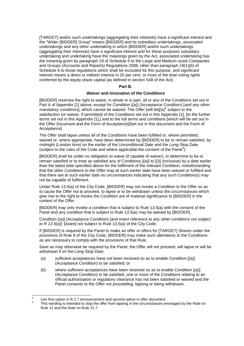[TARGET] and/or such undertakings (aggregating their interests) have a significant interest and the "Wider [BIDDER] Group" means [BIDDER] and its subsidiary undertakings, associated undertakings and any other undertaking in which [BIDDER] and/or such undertakings (aggregating their interests) have a significant interest and for these purposes subsidiary undertaking and undertaking have the meanings given by the Act, associated undertaking has the meaning given by paragraph 19 of Schedule 6 to the Large and Medium-sized Companies and Groups (Accounts and Reports) Regulations 2008, other than paragraph 19(1)(b) of Schedule 6 to those regulations which shall be excluded for this purpose, and significant interest means a direct or indirect interest in 20 per cent. or more of the total voting rights conferred by the equity share capital (as defined in section 548 of the Act).

#### **Part B.**

## **Waiver and Invocation of the Conditions**

[BIDDER] reserves the right to waive, in whole or in part, all or any of the Conditions set out in Part A of Appendix [1] above, except for Condition [(a)] (Acceptance Condition) [*and any other mandatory conditions*], which cannot be waived. The Offer [will be][is]<sup>4</sup> subject to the satisfaction (or waiver, if permitted) of the Conditions set out in this Appendix [1], [to the further terms set out in this Appendix [1],] and to the full terms and conditions [which will be set out in the Offer Document and the Form of Acceptance]/[set out in this document and the Form of Acceptance].

The Offer shall lapse unless all of the Conditions have been fulfilled or, where permitted, waived or, where appropriate, have been determined by [BIDDER] to be or remain satisfied, by midnight (London time) on the earlier of the Unconditional Date and the Long-Stop Date (subject to the rules of the Code and where applicable the consent of the Panel<sup>5</sup>).

[BIDDER] shall be under no obligation to waive (if capable of waiver), to determine to be or remain satisfied or to treat as satisfied any of Conditions [(a)] to [(l)] (inclusive) by a date earlier than the latest date specified above for the fulfilment of the relevant Condition, notwithstanding that the other Conditions to the Offer may at such earlier date have been waived or fulfilled and that there are at such earlier date no circumstances indicating that any such Condition(s) may not be capable of fulfilment.

Under Rule 13.5(a) of the City Code, [BIDDER] may not invoke a Condition to the Offer so as to cause the Offer not to proceed, to lapse or to be withdrawn unless the circumstances which give rise to the right to invoke the Condition are of material significance to [BIDDER] in the context of the Offer.

[BIDDER] may only invoke a condition that is subject to Rule 13.5(a) with the consent of the Panel and any condition that is subject to Rule 13.5(a) may be waived by [BIDDER].

Condition [(a)] (Acceptance Condition) [*and insert reference to any other conditions not subject to R 13.5(a)*] [is/are] not subject to Rule 13.5(a) of the City Code.

If [BIDDER] is required by the Panel to make an offer or offers for [TARGET] Shares under the provisions of Rule 9 of the City Code, [BIDDER] may make such alterations to the Conditions as are necessary to comply with the provisions of that Rule.

Save as may otherwise be required by the Panel, the Offer will not proceed, will lapse or will be withdrawn if on the Long-Stop Date:

- (a) sufficient acceptances have not been received so as to enable Condition [(a)] (Acceptance Condition) to be satisfied; or
- (b) where sufficient acceptances have been received so as to enable Condition [(a)] (Acceptance Condition) to be satisfied, one or more of the Conditions relating to an official authorisation or regulatory clearance has not been satisfied or waived and the Panel consents to the Offer not proceeding, lapsing or being withdrawn.

 $\overline{\phantom{a}}$ 

Use first option in R.2.7 announcement and second option in offer document.

<sup>5</sup> This wording is intended to stop the offer from lapsing in the circumstances envisaged by the Note on Rule 12 and the Note on Rule 31.7.